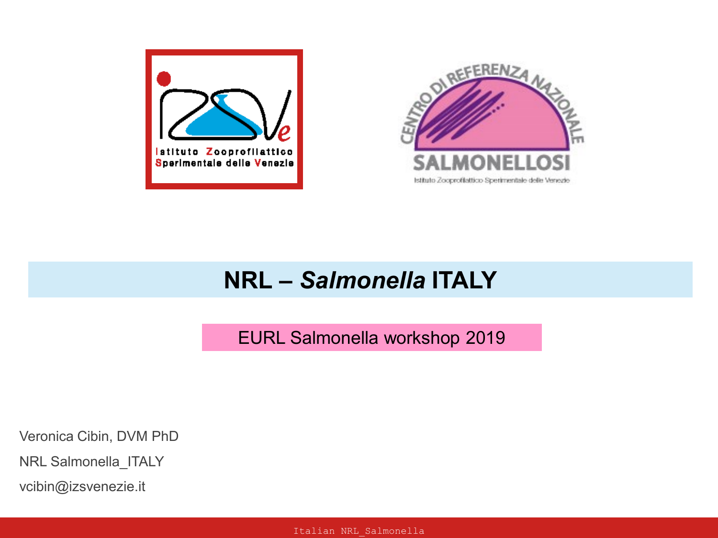



## **NRL –** *Salmonella* **ITALY**

EURL Salmonella workshop 2019

Veronica Cibin, DVM PhD

NRL Salmonella\_ITALY

vcibin@izsvenezie.it

Italian NRL\_Salmonella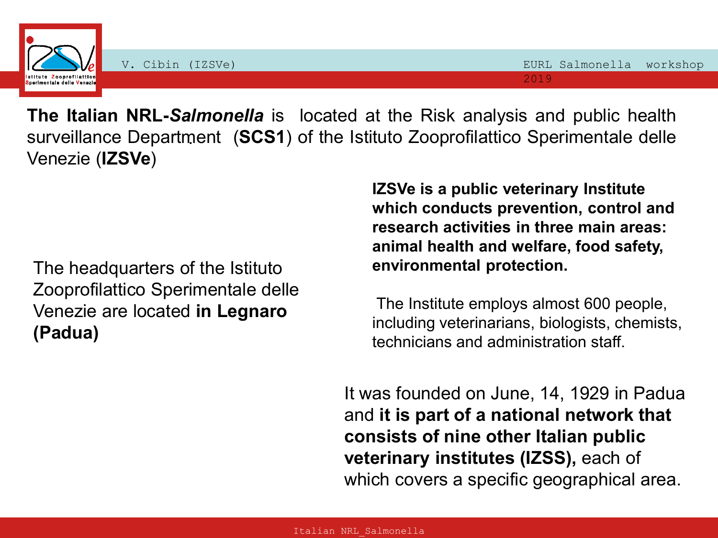

. surveillance Department (**SCS1**) of the Istituto Zooprofilattico Sperimentale delle **The Italian NRL-***Salmonella* is located at the Risk analysis and public health Venezie (**IZSVe**)

The headquarters of the Istituto Zooprofilattico Sperimentale delle Venezie are located **in Legnaro (Padua)**

**IZSVe is a public veterinary Institute which conducts prevention, control and research activities in three main areas: animal health and welfare, food safety, environmental protection.**

The Institute employs almost 600 people, including veterinarians, biologists, chemists, technicians and administration staff.

It was founded on June, 14, 1929 in Padua and **it is part of a national network that consists of nine other Italian public veterinary institutes (IZSS),** each of which covers a specific geographical area.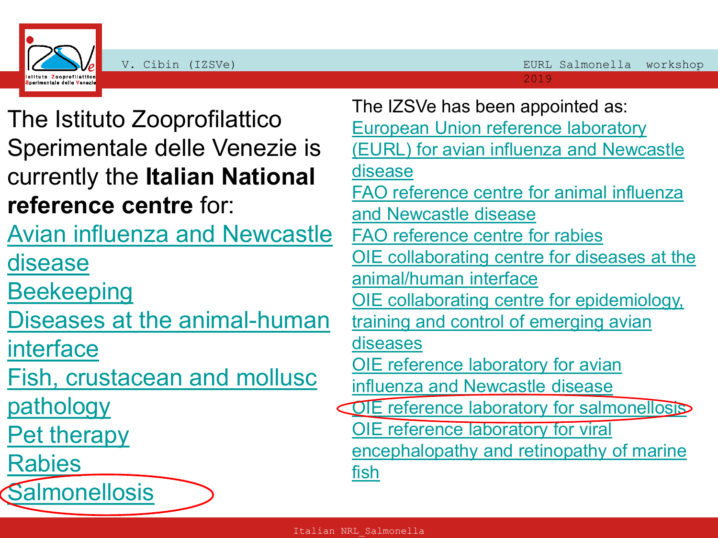



The Istituto Zooprofilattico Sperimentale delle Venezie is currently the **Italian National reference centre** for:

[Avian influenza and Newcastle](https://www.izsvenezie.com/reference-laboratories/avian-influenza-newcastle-disease/) 

[disease](https://www.izsvenezie.com/reference-laboratories/avian-influenza-newcastle-disease/)

**[Beekeeping](https://www.izsvenezie.com/reference-laboratories/beekeeping/)** 

[Diseases at the animal-human](https://www.izsvenezie.com/reference-laboratories/diseases-at-the-animalhuman-interface/) 

[interface](https://www.izsvenezie.com/reference-laboratories/diseases-at-the-animalhuman-interface/)

[Fish, crustacean and mollusc](https://www.izsvenezie.com/reference-laboratories/fish-crustacean-and-mollusc-pathology/) 

[pathology](https://www.izsvenezie.com/reference-laboratories/fish-crustacean-and-mollusc-pathology/)

[Pet therapy](https://www.izsvenezie.com/reference-laboratories/pet-therapy/)

[Rabies](https://www.izsvenezie.com/reference-laboratories/rabies/)

**[Salmonellosis](https://www.izsvenezie.com/reference-laboratories/salmonellosis/)** 

The IZSVe has been appointed as: [European Union reference laboratory](https://www.izsvenezie.com/reference-laboratories/avian-influenza-newcastle-disease/)  [\(EURL\) for avian influenza and Newcastle](https://www.izsvenezie.com/reference-laboratories/avian-influenza-newcastle-disease/)  [disease](https://www.izsvenezie.com/reference-laboratories/avian-influenza-newcastle-disease/) [FAO reference centre for animal influenza](https://www.izsvenezie.com/reference-laboratories/avian-influenza-newcastle-disease/)  [and Newcastle disease](https://www.izsvenezie.com/reference-laboratories/avian-influenza-newcastle-disease/) [FAO reference centre](https://www.izsvenezie.com/reference-laboratories/rabies/) [for rabies](https://www.izsvenezie.com/reference-laboratories/rabies/) [OIE collaborating centre for diseases at the](https://www.izsvenezie.com/reference-laboratories/diseases-at-the-animalhuman-interface/)  [animal/human interface](https://www.izsvenezie.com/reference-laboratories/diseases-at-the-animalhuman-interface/) [OIE collaborating centre for epidemiology,](https://www.izsvenezie.com/reference-laboratories/emerging-avian-diseases/)  training and control of emerging avian [diseases](https://www.izsvenezie.com/reference-laboratories/emerging-avian-diseases/) [OIE reference laboratory for avian](https://www.izsvenezie.com/reference-laboratories/avian-influenza-newcastle-disease/)  [influenza and Newcastle disease](https://www.izsvenezie.com/reference-laboratories/avian-influenza-newcastle-disease/) [OIE reference laboratory for salmonellosis](https://www.izsvenezie.com/reference-laboratories/salmonellosis/) [OIE reference laboratory for viral](https://www.izsvenezie.com/reference-laboratories/fish-crustacean-and-mollusc-pathology/)  [encephalopathy and retinopathy of marine](https://www.izsvenezie.com/reference-laboratories/fish-crustacean-and-mollusc-pathology/)  [fish](https://www.izsvenezie.com/reference-laboratories/fish-crustacean-and-mollusc-pathology/)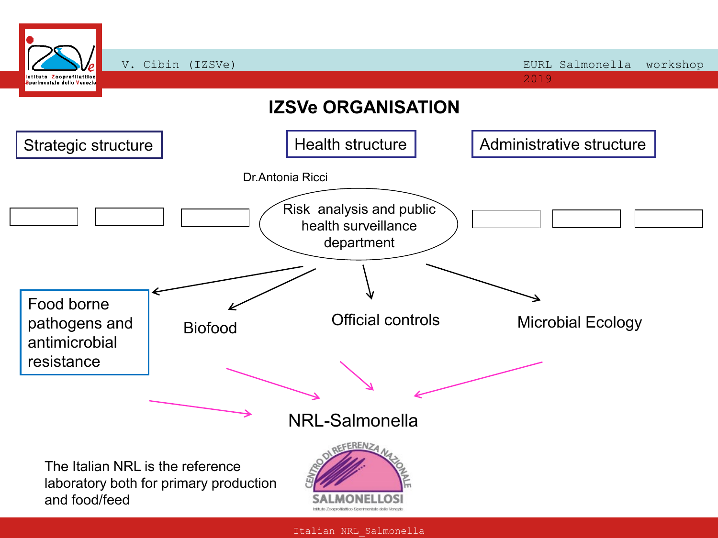

Italian NRL\_Salmonella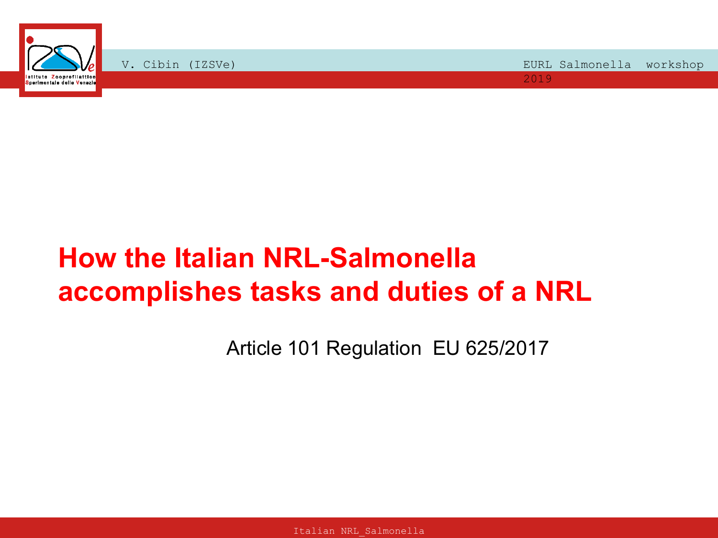

# **How the Italian NRL-Salmonella accomplishes tasks and duties of a NRL**

Article 101 Regulation EU 625/2017

Italian NRL\_Salmonella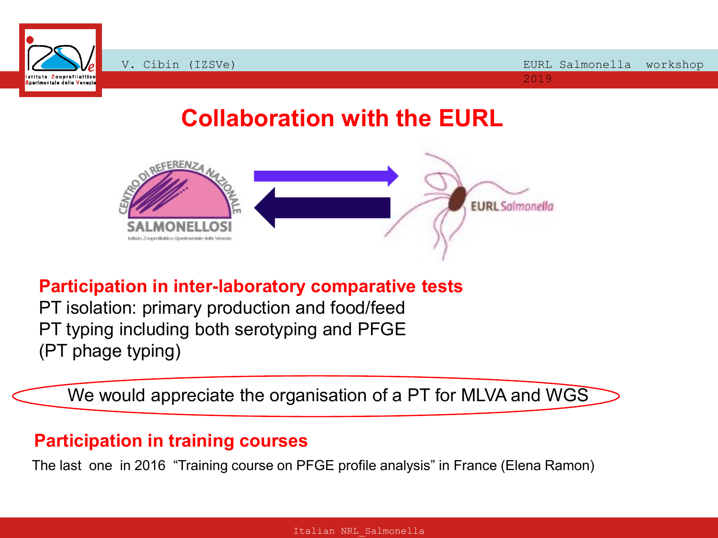

# **Collaboration with the EURL**



#### **Participation in inter-laboratory comparative tests**

PT isolation: primary production and food/feed PT typing including both serotyping and PFGE (PT phage typing)

We would appreciate the organisation of a PT for MLVA and WGS  $\,$ 

#### **Participation in training courses**

The last one in 2016 "Training course on PFGE profile analysis" in France (Elena Ramon)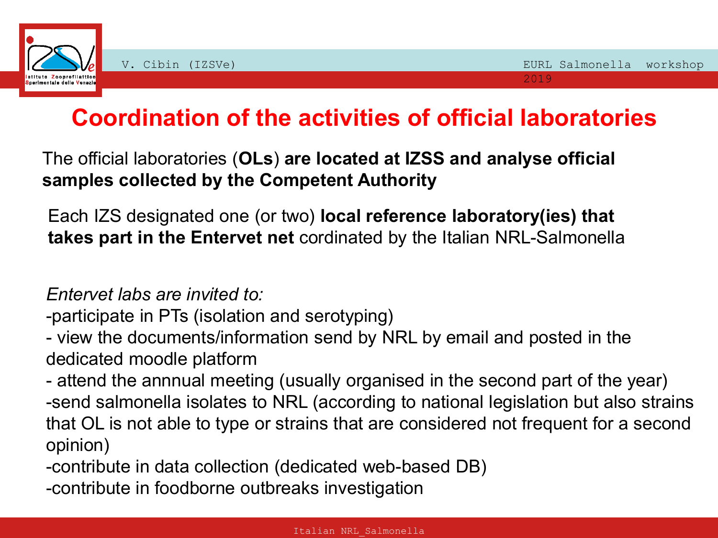

# **Coordination of the activities of official laboratories**

The official laboratories (**OLs**) **are located at IZSS and analyse official samples collected by the Competent Authority**

Each IZS designated one (or two) **local reference laboratory(ies) that takes part in the Entervet net** cordinated by the Italian NRL-Salmonella

*Entervet labs are invited to:*

-participate in PTs (isolation and serotyping)

- view the documents/information send by NRL by email and posted in the dedicated moodle platform

- attend the annnual meeting (usually organised in the second part of the year) -send salmonella isolates to NRL (according to national legislation but also strains that OL is not able to type or strains that are considered not frequent for a second opinion)

-contribute in data collection (dedicated web-based DB)

-contribute in foodborne outbreaks investigation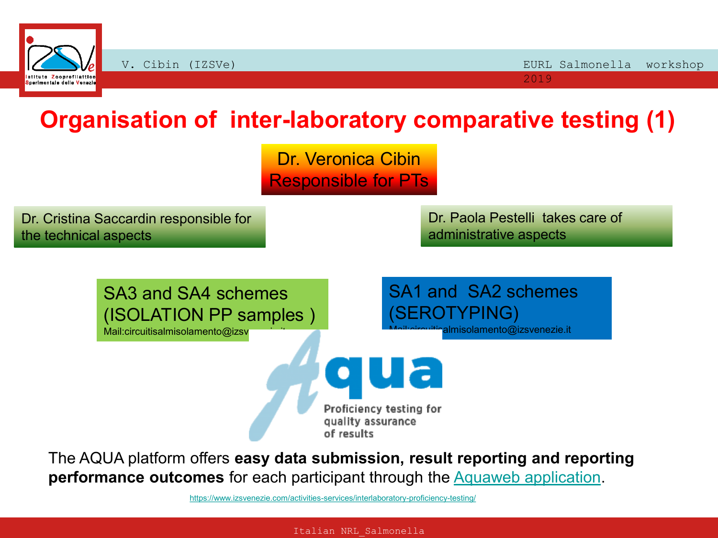

# **Organisation of inter-laboratory comparative testing (1)**

Dr. Veronica Cibin Responsible for PTs

Dr. Cristina Saccardin responsible for the technical aspects

Dr. Paola Pestelli takes care of administrative aspects

SA3 and SA4 schemes (ISOLATION PP samples )

Mail:circuitisalmisolamento@izsv

SA1 and SA2 schemes (SEROTYPING) almisolamento@izsvenezie.it

Proficiency testing for quality assurance of results

The AQUA platform offers **easy data submission, result reporting and reporting performance outcomes** for each participant through the [Aquaweb application.](https://www.izsvenezie.com/activities-services/interlaboratory-proficiency-testing/)

<https://www.izsvenezie.com/activities-services/interlaboratory-proficiency-testing/>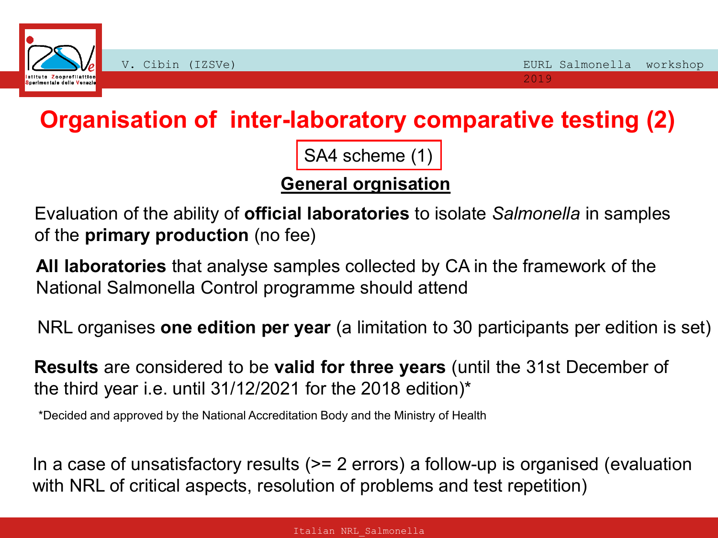

**Organisation of inter-laboratory comparative testing (2)** 

SA4 scheme (1)

#### **General orgnisation**

Evaluation of the ability of **official laboratories** to isolate *Salmonella* in samples of the **primary production** (no fee)

**All laboratories** that analyse samples collected by CA in the framework of the National Salmonella Control programme should attend

NRL organises **one edition per year** (a limitation to 30 participants per edition is set)

**Results** are considered to be **valid for three years** (until the 31st December of the third year i.e. until 31/12/2021 for the 2018 edition)\*

\*Decided and approved by the National Accreditation Body and the Ministry of Health

In a case of unsatisfactory results (>= 2 errors) a follow-up is organised (evaluation with NRL of critical aspects, resolution of problems and test repetition)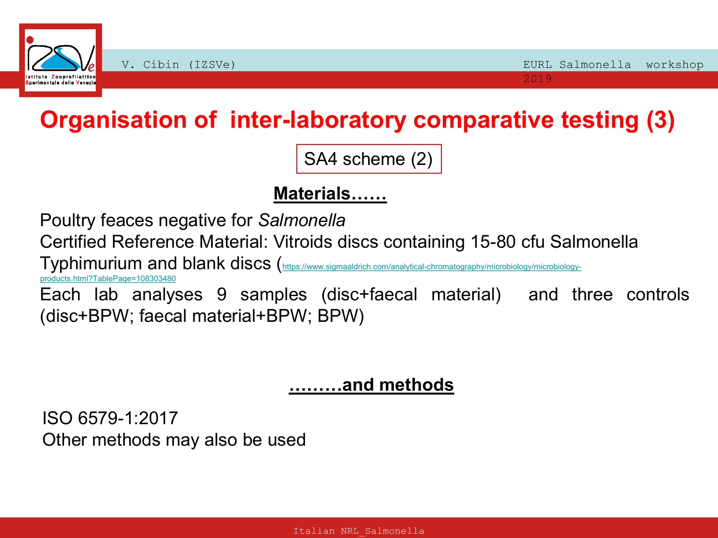

# **Organisation of inter-laboratory comparative testing (3)**

SA4 scheme (2)

## **Materials……**

Poultry feaces negative for *Salmonella*

Certified Reference Material: Vitroids discs containing 15-80 cfu Salmonella

Typhimurium and blank discs ([https://www.sigmaaldrich.com/analytical-chromatography/microbiology/microbiology-](https://www.sigmaaldrich.com/analytical-chromatography/microbiology/microbiology-products.html?TablePage=108303480)

[products.html?TablePage=108303480](https://www.sigmaaldrich.com/analytical-chromatography/microbiology/microbiology-products.html?TablePage=108303480)

Each lab analyses 9 samples (disc+faecal material) and three controls (disc+BPW; faecal material+BPW; BPW)

#### **………and methods**

ISO 6579-1:2017 Other methods may also be used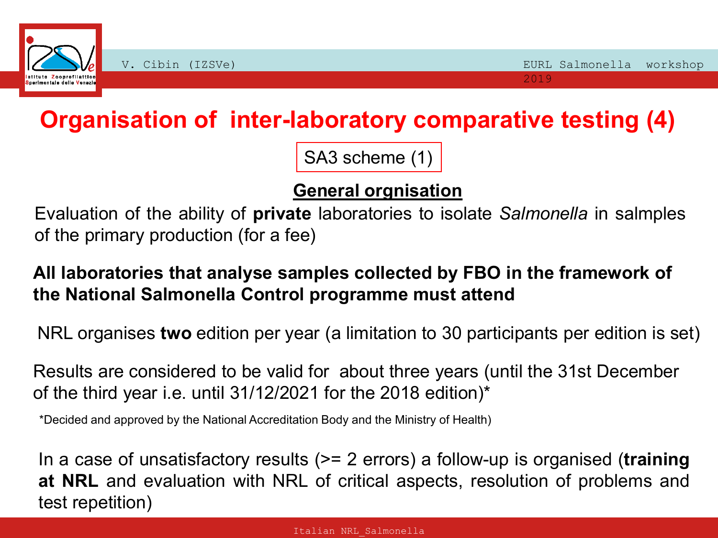

# **Organisation of inter-laboratory comparative testing (4)**

SA3 scheme (1)

## **General orgnisation**

Evaluation of the ability of **private** laboratories to isolate *Salmonella* in salmples of the primary production (for a fee)

## **All laboratories that analyse samples collected by FBO in the framework of the National Salmonella Control programme must attend**

NRL organises **two** edition per year (a limitation to 30 participants per edition is set)

Results are considered to be valid for about three years (until the 31st December of the third year i.e. until 31/12/2021 for the 2018 edition)\*

\*Decided and approved by the National Accreditation Body and the Ministry of Health)

In a case of unsatisfactory results (>= 2 errors) a follow-up is organised (**training at NRL** and evaluation with NRL of critical aspects, resolution of problems and test repetition)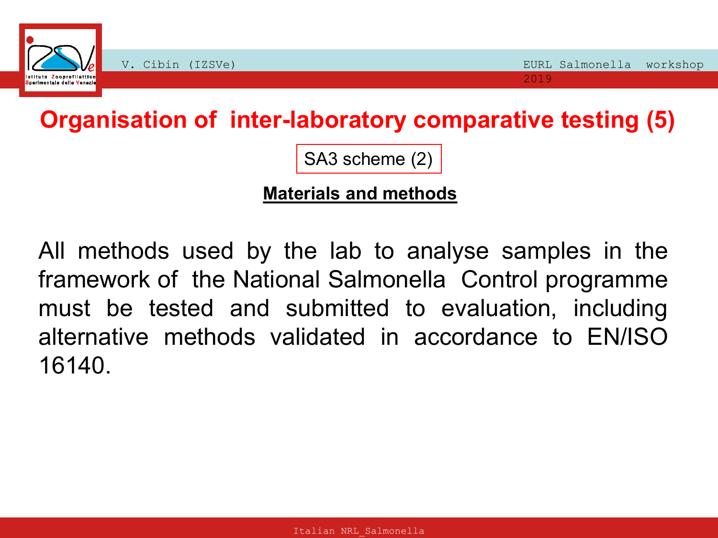

**Organisation of inter-laboratory comparative testing (5)** 

SA3 scheme (2)

#### **Materials and methods**

All methods used by the lab to analyse samples in the framework of the National Salmonella Control programme must be tested and submitted to evaluation, including alternative methods validated in accordance to EN/ISO 16140.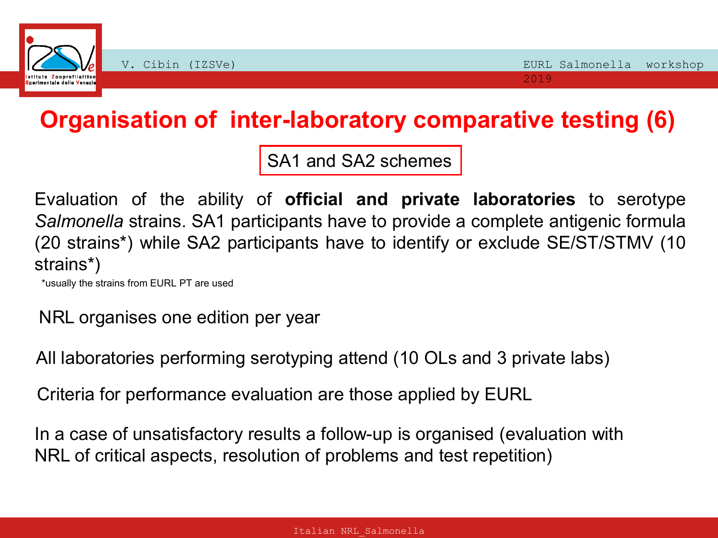

# **Organisation of inter-laboratory comparative testing (6)**

SA1 and SA2 schemes

Evaluation of the ability of **official and private laboratories** to serotype *Salmonella* strains. SA1 participants have to provide a complete antigenic formula (20 strains\*) while SA2 participants have to identify or exclude SE/ST/STMV (10 strains\*)

\*usually the strains from EURL PT are used

NRL organises one edition per year

All laboratories performing serotyping attend (10 OLs and 3 private labs)

Criteria for performance evaluation are those applied by EURL

In a case of unsatisfactory results a follow-up is organised (evaluation with NRL of critical aspects, resolution of problems and test repetition)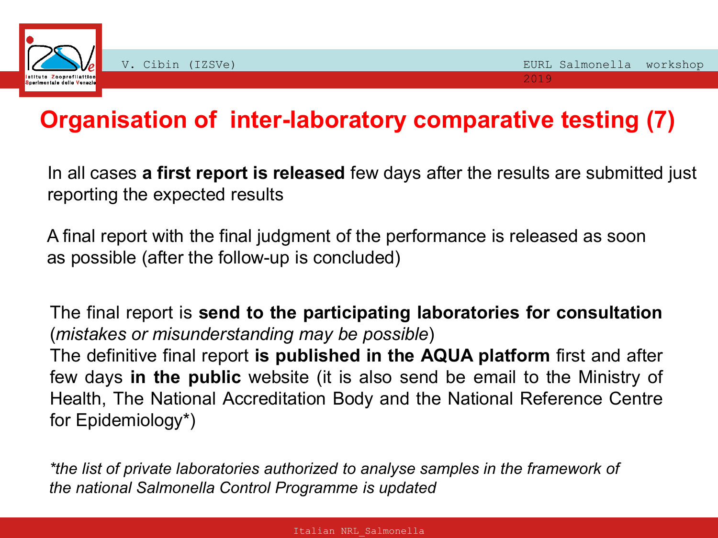

# **Organisation of inter-laboratory comparative testing (7)**

In all cases **a first report is released** few days after the results are submitted just reporting the expected results

A final report with the final judgment of the performance is released as soon as possible (after the follow-up is concluded)

The final report is **send to the participating laboratories for consultation** (*mistakes or misunderstanding may be possible*) The definitive final report **is published in the AQUA platform** first and after few days **in the public** website (it is also send be email to the Ministry of Health, The National Accreditation Body and the National Reference Centre for Epidemiology\*)

*\*the list of private laboratories authorized to analyse samples in the framework of the national Salmonella Control Programme is updated*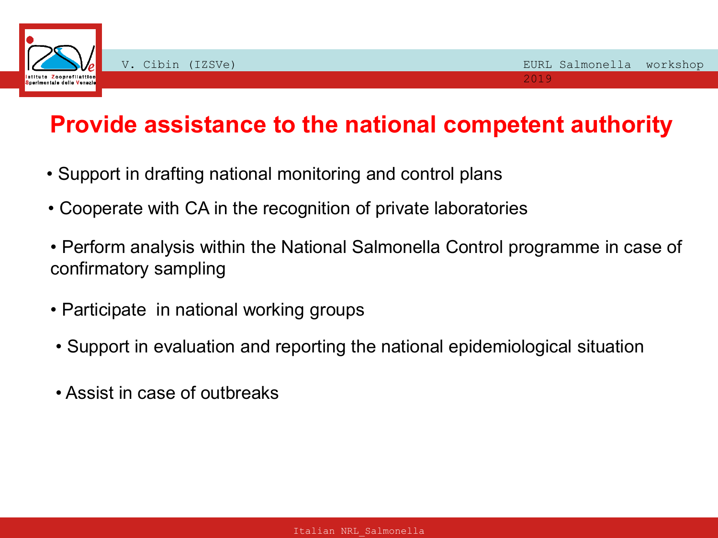

# **Provide assistance to the national competent authority**

- Support in drafting national monitoring and control plans
- Cooperate with CA in the recognition of private laboratories
- Perform analysis within the National Salmonella Control programme in case of confirmatory sampling
- Participate in national working groups
- Support in evaluation and reporting the national epidemiological situation
- Assist in case of outbreaks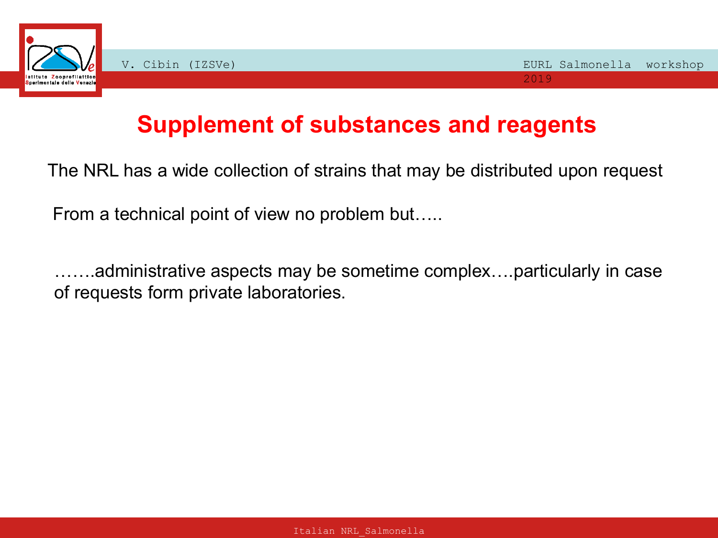

## **Supplement of substances and reagents**

The NRL has a wide collection of strains that may be distributed upon request

From a technical point of view no problem but…..

…….administrative aspects may be sometime complex….particularly in case of requests form private laboratories.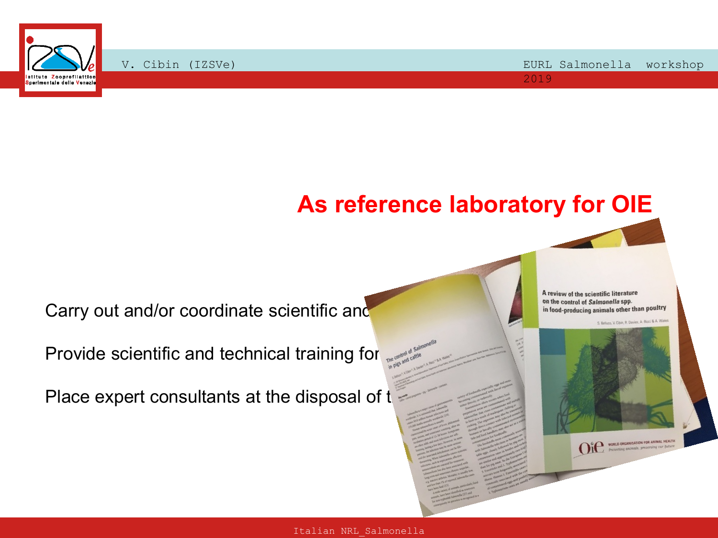

## **As reference laboratory for OIE**

Carry out and/or coordinate scientific and the control of Salmonella spp.<br>
in food-producing animals other than poultry

Provide scientific and technical training for

Place expert consultants at the disposal of  $t$ 

A review of the scientific literature





OIL WORLD ORGANISATION FOR ANIMAL HEALTH